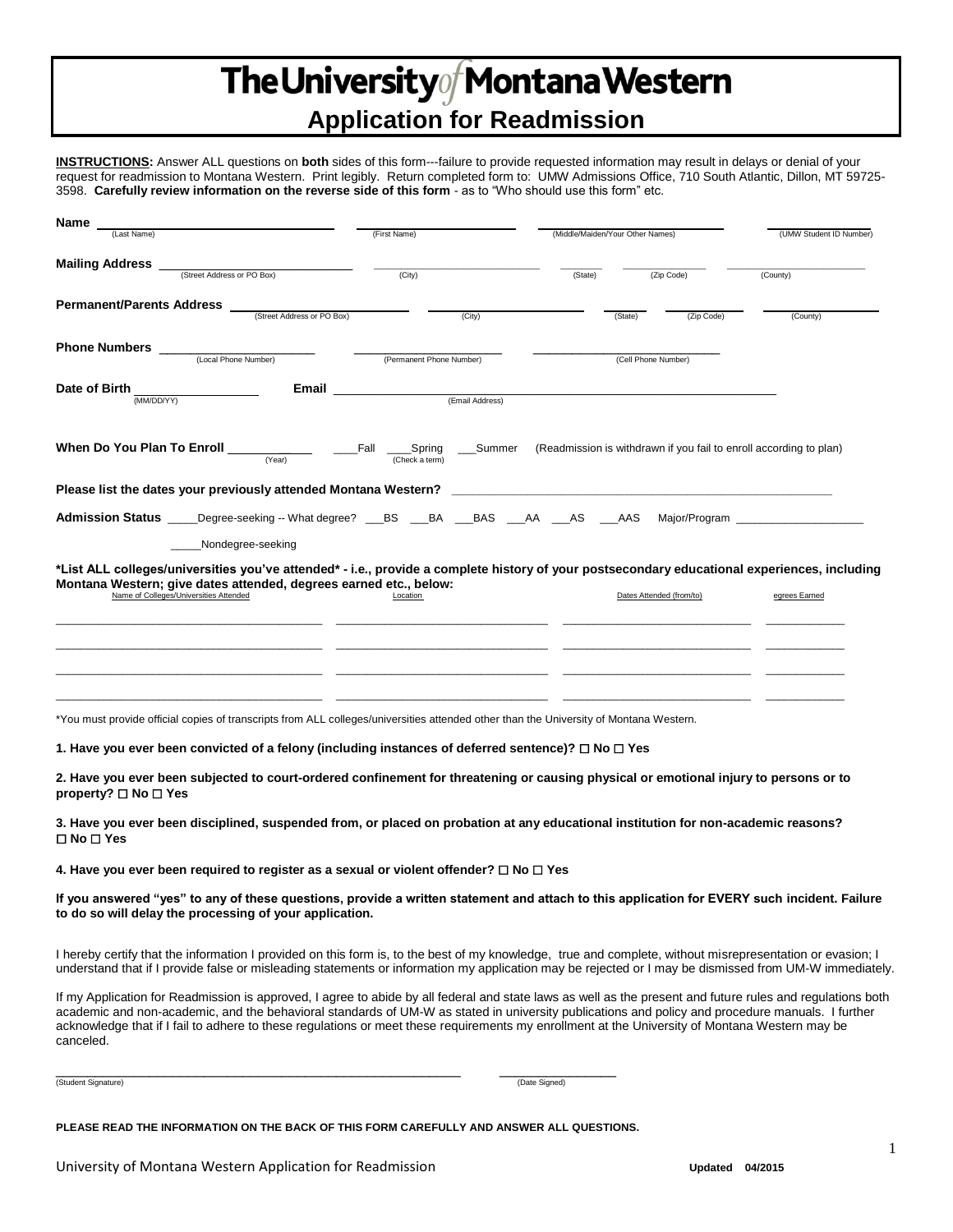# The University of Montana Western **Application for Readmission**

**INSTRUCTIONS:** Answer ALL questions on **both** sides of this form---failure to provide requested information may result in delays or denial of your request for readmission to Montana Western. Print legibly. Return completed form to: UMW Admissions Office, 710 South Atlantic, Dillon, MT 59725- 3598. **Carefully review information on the reverse side of this form** - as to "Who should use this form" etc.

| Name                                                                                                                                                                                                              |                                                                  |                                                                    |                                                                                                                                                                                                                                |
|-------------------------------------------------------------------------------------------------------------------------------------------------------------------------------------------------------------------|------------------------------------------------------------------|--------------------------------------------------------------------|--------------------------------------------------------------------------------------------------------------------------------------------------------------------------------------------------------------------------------|
| (Last Name)                                                                                                                                                                                                       | (First Name)                                                     | (Middle/Maiden/Your Other Names)                                   | (UMW Student ID Number)                                                                                                                                                                                                        |
| <b>Mailing Address</b><br>(Street Address or PO Box)                                                                                                                                                              | (City)                                                           | (Zip Code)<br>(State)                                              | (County)                                                                                                                                                                                                                       |
| <b>Permanent/Parents Address</b><br>(Street Address or PO Box)                                                                                                                                                    | (City)                                                           | (State)<br>(Zip Code)                                              | (County)                                                                                                                                                                                                                       |
| <b>Phone Numbers</b><br>(Local Phone Number)                                                                                                                                                                      | (Permanent Phone Number)                                         | (Cell Phone Number)                                                |                                                                                                                                                                                                                                |
| Date of Birth<br>(MM/DD/YY)                                                                                                                                                                                       | Email <b>Exercise Service Service Service</b><br>(Email Address) |                                                                    |                                                                                                                                                                                                                                |
| When Do You Plan To Enroll<br>(Year)                                                                                                                                                                              | Fall<br>Summer<br>_____Spring<br>(Check a term)                  | (Readmission is withdrawn if you fail to enroll according to plan) |                                                                                                                                                                                                                                |
| Please list the dates your previously attended Montana Western?                                                                                                                                                   |                                                                  |                                                                    |                                                                                                                                                                                                                                |
| <b>Admission Status</b> Degree-seeking -- What degree? BS BA BAS AA AS AAS                                                                                                                                        |                                                                  |                                                                    | Major/Program example and the state of the state of the state of the state of the state of the state of the state of the state of the state of the state of the state of the state of the state of the state of the state of t |
| Nondegree-seeking                                                                                                                                                                                                 |                                                                  |                                                                    |                                                                                                                                                                                                                                |
| *List ALL colleges/universities you've attended* - i.e., provide a complete history of your postsecondary educational experiences, including<br>Montana Western; give dates attended, degrees earned etc., below: |                                                                  |                                                                    |                                                                                                                                                                                                                                |
| Name of Colleges/Universities Attended                                                                                                                                                                            | Location                                                         | Dates Attended (from/to)                                           | egrees Earned                                                                                                                                                                                                                  |
|                                                                                                                                                                                                                   |                                                                  |                                                                    |                                                                                                                                                                                                                                |
|                                                                                                                                                                                                                   |                                                                  |                                                                    |                                                                                                                                                                                                                                |
|                                                                                                                                                                                                                   |                                                                  |                                                                    |                                                                                                                                                                                                                                |
| *You must provide official copies of transcripts from ALL colleges/universities attended other than the University of Montana Western.                                                                            |                                                                  |                                                                    |                                                                                                                                                                                                                                |

**1. Have you ever been convicted of a felony (including instances of deferred sentence)?** ☐ **No** ☐ **Yes**

**2. Have you ever been subjected to court-ordered confinement for threatening or causing physical or emotional injury to persons or to property?** ☐ **No** ☐ **Yes**

**3. Have you ever been disciplined, suspended from, or placed on probation at any educational institution for non-academic reasons?**  ☐ **No** ☐ **Yes**

**4. Have you ever been required to register as a sexual or violent offender?** ☐ **No** ☐ **Yes**

**If you answered "yes" to any of these questions, provide a written statement and attach to this application for EVERY such incident. Failure to do so will delay the processing of your application.**

I hereby certify that the information I provided on this form is, to the best of my knowledge, true and complete, without misrepresentation or evasion; I understand that if I provide false or misleading statements or information my application may be rejected or I may be dismissed from UM-W immediately.

If my Application for Readmission is approved, I agree to abide by all federal and state laws as well as the present and future rules and regulations both academic and non-academic, and the behavioral standards of UM-W as stated in university publications and policy and procedure manuals. I further acknowledge that if I fail to adhere to these regulations or meet these requirements my enrollment at the University of Montana Western may be canceled.

(Student Signature) (Date Signed) (Characteristic and Characteristic and Characteristic and Characteristic and Characteristic and Characteristic and Characteristic and Characteristic and Characteristic and Characteristic a

\_\_\_\_\_\_\_\_\_\_\_\_\_\_\_\_\_\_\_\_\_\_\_\_\_\_\_\_\_\_\_\_\_\_\_\_\_\_\_\_\_\_\_\_\_\_\_\_\_\_\_\_ \_\_\_\_\_\_\_\_\_\_\_\_\_\_\_

**PLEASE READ THE INFORMATION ON THE BACK OF THIS FORM CAREFULLY AND ANSWER ALL QUESTIONS.**